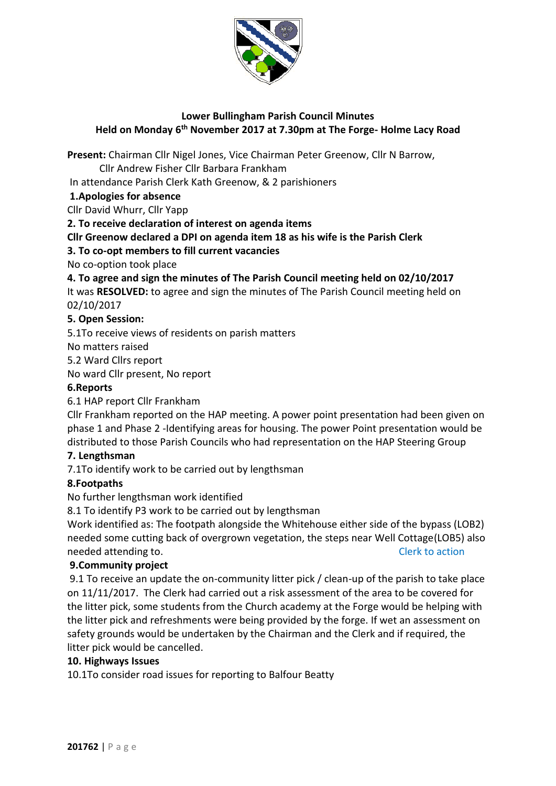

# **Lower Bullingham Parish Council Minutes Held on Monday 6 th November 2017 at 7.30pm at The Forge- Holme Lacy Road**

**Present:** Chairman Cllr Nigel Jones, Vice Chairman Peter Greenow, Cllr N Barrow,

Cllr Andrew Fisher Cllr Barbara Frankham

In attendance Parish Clerk Kath Greenow, & 2 parishioners

# **1.Apologies for absence**

Cllr David Whurr, Cllr Yapp

**2. To receive declaration of interest on agenda items**

**Cllr Greenow declared a DPI on agenda item 18 as his wife is the Parish Clerk** 

**3. To co-opt members to fill current vacancies** 

No co-option took place

**4. To agree and sign the minutes of The Parish Council meeting held on 02/10/2017**

It was **RESOLVED:** to agree and sign the minutes of The Parish Council meeting held on 02/10/2017

# **5. Open Session:**

5.1To receive views of residents on parish matters

No matters raised

5.2 Ward Cllrs report

No ward Cllr present, No report

# **6.Reports**

6.1 HAP report Cllr Frankham

Cllr Frankham reported on the HAP meeting. A power point presentation had been given on phase 1 and Phase 2 -Identifying areas for housing. The power Point presentation would be distributed to those Parish Councils who had representation on the HAP Steering Group

# **7. Lengthsman**

7.1To identify work to be carried out by lengthsman

## **8.Footpaths**

No further lengthsman work identified

8.1 To identify P3 work to be carried out by lengthsman

Work identified as: The footpath alongside the Whitehouse either side of the bypass (LOB2) needed some cutting back of overgrown vegetation, the steps near Well Cottage(LOB5) also needed attending to. The contract of the contract of the contract of the contract of the contract of the contract of the contract of the contract of the contract of the contract of the contract of the contract of the contr

## **9.Community project**

9.1 To receive an update the on-community litter pick / clean-up of the parish to take place on 11/11/2017. The Clerk had carried out a risk assessment of the area to be covered for the litter pick, some students from the Church academy at the Forge would be helping with the litter pick and refreshments were being provided by the forge. If wet an assessment on safety grounds would be undertaken by the Chairman and the Clerk and if required, the litter pick would be cancelled.

## **10. Highways Issues**

10.1To consider road issues for reporting to Balfour Beatty